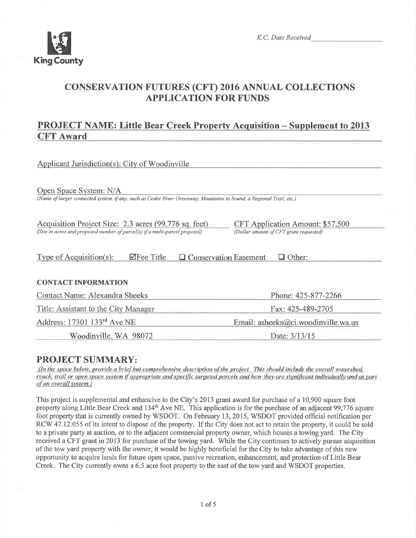

## CONSERVATTON FUTURES (CFT) 2016 ANNUAL COLLECTTONS APPLICATION FOR FUNDS

## PROJECT NAME: Little Bear Creek Property Acquisition - Supplement to <sup>2013</sup> CFT Award

| Applicant Jurisdiction(s): City of Woodinville                                                                                                |                                                                            |
|-----------------------------------------------------------------------------------------------------------------------------------------------|----------------------------------------------------------------------------|
| Open Space System: N/A<br>(Name of larger connected system, if any, such as Cedar River Greenway, Mountains to Sound, a Regional Trail, etc.) |                                                                            |
| Acquisition Project Size: 2.3 acres (99,776 sq. feet)<br>(Size in acres and proposed number of parcel(s) if a multi-parcel proposal)          | CFT Application Amount: \$57,500<br>(Dollar amount of CFT grant requested) |
| $\blacktriangledown$ Fee Title<br>$\Box$ Conservation Easement<br>Type of Acquisition(s):                                                     | $\Box$ Other:                                                              |
| <b>CONTACT INFORMATION</b>                                                                                                                    |                                                                            |
| Contact Name: Alexandra Sheeks                                                                                                                | Phone: 425-877-2266                                                        |
| Title: Assistant to the City Manager                                                                                                          | Fax: 425-489-2705                                                          |
| Address: 17301 133 <sup>rd</sup> Ave NE                                                                                                       | Email: asheeks@ci.woodinville.wa.us                                        |
| Woodinville, WA 98072                                                                                                                         | Date: 3/13/15                                                              |

## PROJECT SUMMARY:

(In the space below, provide a brief but comprehensive description of the project. This should include the overall watershed, reach, trail or open space system if appropriate and specific targeted parcels and how they are significant individually and as part of an overall system.)

This project is supplernental and enhancive to the City's 2013 grant award for purchase of a 10,900 square foot property along Little Bear Creek and 134<sup>th</sup> Ave NE. This application is for the purchase of an adjacent 99,776 square foot property that is currently owned by WSDOT. On February 13,2075, WSDOT provided official notification per RCW 47.12.055 of its intent to dispose of the property. If the City does not act to retain the property, it could be sold to a private party at auction, or to the adjacent commercial property owner, which houses a towing yard. The City received a CFT grant in 2013 for purchase of the towing yard. While the City continues to actively pursue acquisition of the tow yard property with the owner, it would be highly beneficial for the City to take advantage of this new opportunity to acquire lands for future open space, passive recreation, enhancement, and protection of Little Bear Creek. The City currently owns a 6.5 acre foot property to the east of the tow yard and WSDOT properties.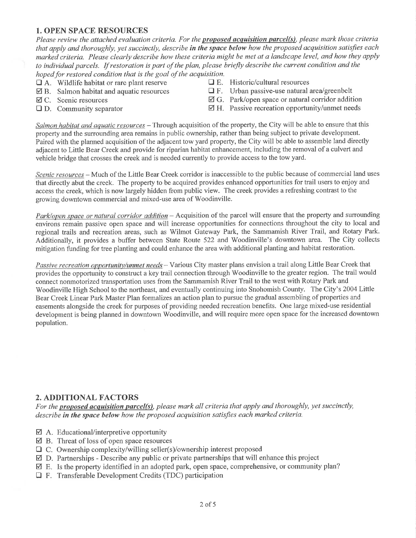### 1. OPEN SPACE RESOURCES

Please review the attached evaluation criteria. For the **proposed acquisition parcel(s)**, please mark those criteria that apply and thoroughly, yet succinctly, describe in the space below how the proposed acquisition satisfies each marked criteria. Please clearly describe how these criteria might be met at a landscape level, and how they apply to individual parcels. If restoration is part of the plan, please briefly describe the current condition and the hoped for restored condition that is the goal of the acquisition.<br> $\Box$  A. Wildlife habitat or rare plant reserve  $\Box$  E. Historic/cultural resources

- 
- $\Box$  A. Wildlife habitat or rare plant reserve  $\Box$  B. Salmon habitat and aquatic resources
- 
- 
- 
- $\Box$  B. Salmon habitat and aquatic resources  $\Box$  F. Urban passive-use natural area/greenbelt  $\Box$  C. Scenic resources  $\Box$  G. Park/open space or natural corridor addit
- **Ø** C. Scenic resources **ø G. Park/open space or natural corridor addition**<br> **Q** H. Passive recreation opportunity/unmet needs **Q** H. Passive recreation opportunity/unmet needs
	- $\boxtimes$  H. Passive recreation opportunity/unmet needs

Salmon habitat and aquatic resources - Through acquisition of the property, the City will be able to ensure that this property and the surrounding area remains in public ownership, rather than being subject to private development. Paired with the planned acquisition of the adjacent tow yard property, the City will be able to assemble land directly adjacent to Little Bear Creek and provide for riparian habitat enhancement, including the removal of a culvert and vehicle bridge that crosses the creek and is needed currently to provide access to the tow yard.

Scenic resources - Much of the Little Bear Creek corridor is inaccessible to the public because of commercial land uses that directly abut the creek. The properly to be acquired provides enhanced opportunities for trail users to enjoy and access the creek, which is now largely hidden from public view. The creek provides a refreshing contrast to the growing downtown commercial and mixed-use area of Woodinville.

Park/open space or natural corridor addition – Acquisition of the parcel will ensure that the property and surrounding environs remain passive open space and will increase opportunities for connections throughout the city to local and regional trails and recreation areas, such as Wilmot Gateway Park, the Sammamish River Trail, and Rotary Park. Additionally, it provides a buffer between State Route 522 and Woodinville's downtown area. The City collects mitigation funding for tree planting and could enhance the area with additional planting and habitat restoration.

Passive recreation opportunity/unmet needs - Various City master plans envision a trail along Little Bear Creek that provides the opportunity to construct a key trail connection through Woodinville to the greater region. The trail would connect nonmotorized transportation uses from the Sammamish River Trail to the west with Rotary Park and Woodinville High School to the northeast, and eventually continuing into Snohomish County. The City's 2004Little Bear Creek Linear Park Master Plan formalizes an action plan to pursue the gradual assembling of properties and easements alongside the creek for purposes of providing needed recreation benefits. One large mixed-use residential development is being planned in downtown Woodinville, and will require more open space for the increased downtown population.

#### 2. ADDITIONAL FACTORS

For the proposed acquisition parcel(s), please mark all criteria that apply and thoroughly, yet succinctly, describe in the space below how the proposed acquisition satisfies each marked criteria.

- ⊠ A. Educational/interpretive opportunity
- $\boxtimes$  B. Threat of loss of open space resources
- Ownership complexity/willing seller(s)/ownership interest proposed DC.
- Partnerships Describe any public or private partnerships that will enhance this project øD.
- $\boxtimes$  E. Is the property identified in an adopted park, open space, comprehensive, or community plan?
- $\Box$  F. Transferable Development Credits (TDC) participation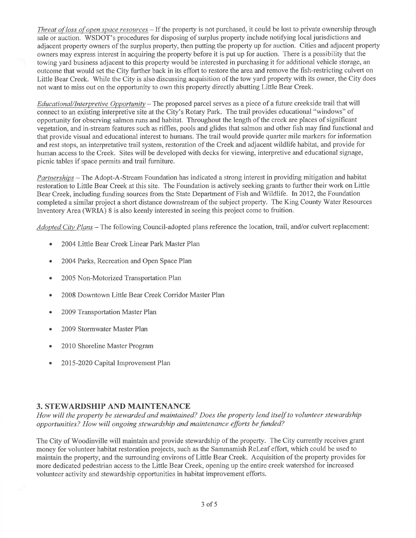Threat of loss of open space resources - If the property is not purchased, it could be lost to private ownership through sale or auction. WSDOT's procedures for disposing of surplus property include notifying local jurisdictions and adjacent property owners ofthe surplus property, then putting the property up for auction. Cities and adjacent property owners may express interest in acquiring the property before it is put up for auction. There is a possibility that the towing yard business adjacent to this property would be interested in purchasing it for additional vehicle storage, an outcome that would set the City further back in its effort to restore the area and remove the fish-restricting culvert on Little Bear Creek. While the City is also discussing acquisition of the tow yard property with its owner, the City does not want to miss out on the opportunity to own this property directly abutting Little Bear Creek.

Educational/Interpretive Opportunity - The proposed parcel serves as a piece of a future creekside trail that will connect to an existing interpretive site at the City's Rotary Park. The trail provides educational "windows" of opportunity for observing salmon runs and habitat. Throughout the length of the creek are places of significant vegetation, and in-stream features such as riffles, pools and glides that salmon and other fish may find functional and that provide visual and educational interest to humans. The trail would provide quarter mile markers for information and rest stops, an interpretative trail system, restoration of the Creek and adjacent wildlife habitat, and provide for human access to the Creek. Sites will be developed with decks for viewing, interpretive and educational signage, picnic tables if space permits and trail furniture.

Partnerships - The Adopt-A-Stream Foundation has indicated a strong interest in providing mitigation and habitat restoration to Little Bear Creek at this site. The Foundation is actively seeking grants to further their work on Little Bear Creek, including funding sources from the State Department of Fish and Wildlife. In2012, the Foundation completed a similar project a short distance downstream of the subject property. The King County Water Resources Inventory Area (WRLA) 8 is also keenly interested in seeing this project come to fruition.

 $Adopted City Plans - The following Council-adopted plans reference the location, trail, and/or culvert replacement:$ 

- 2004 Little Bear Creek Linear Park Master Plan
- . 2004 Parks, Recreation and Open Space Plan
- . 2005 Non-Motorized Transportation Plan
- . 2008 Downtown Little Bear Creek Conidor Master Plan
- . 2009 Transportation Master Plan
- 2009 Stormwater Master Plan
- . 20lO Shoreline Master Program
- . 2015-2020 Capital Improvement Plan

#### 3. STEWARDSHIP AND MAINTENANCE

How will the property be stewarded and maintained? Does the property lend itself to volunteer stewardship opportunities? How will ongoing stewardship and maintenance efforts be funded?

The City of Woodinville will maintain and provide stewardship of the property. The City currently receives grant money for volunteer habitat restoration projects, such as the Sammamish Releaf effort, which could be used to maintain the property, and the surrounding environs of Little Bear Creek. Acquisition of the property provides for more dedicated pedestrian access to the Little Bear Creek, opening up the entire creek watershed for increased volunteer activify and stewardship opporfunities in habitat improvement efforts.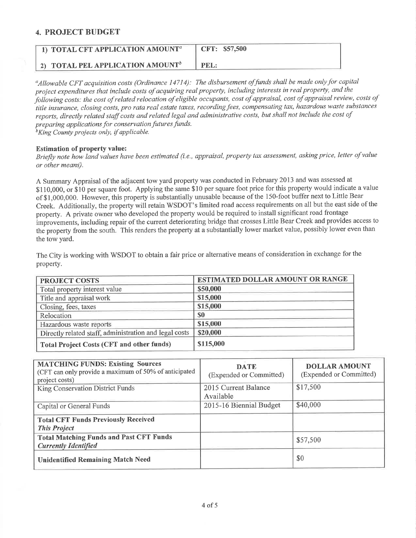#### 4. PROJECT BUDGET

| $\blacksquare$ 1) TOTAL CFT APPLICATION AMOUNT <sup>a</sup> | CFT: \$57,500 |
|-------------------------------------------------------------|---------------|
| 2) TOTAL PEL APPLICATION AMOUNT <sup>b</sup>                | PEL:          |

<sup>a</sup>Allowable CFT acquisition costs (Ordinance 14714): The disbursement of funds shall be made only for capital project expenditures that include costs of acquiring real property, including interests in real property, and the þliowing-costs: the cost of related relocation of eligibte occupants, cost of appraisal, cost of appraisal review, costs of title insurance, closing costs, pro rata real estate taxes, recording fees, compensating tax, hazardous waste substances reports, directly related staff costs and related legal and administrative costs, but shall not include the cost of preparing applications for conservation futures funds.

 $b$ King County projects only, if applicable.

#### Estimation of property value:

Briefly note how land values have been estimated (i.e., appraisal, property tax assessment, asking price, letter of value or other means).

A Summary Appraisal of the adjacent tow yard property was conducted in February 2013 and was assessed at \$110,000, or \$10 per square foot. Applying the same \$10 per square foot price for this property would indicate a value of \$1,000,000. However, this property is substantially unusable because of the 150-foot buffer next to Little Bear Creek. Additionally, the property will retain WSDOT's limited road access requirements on all but the east side of the property. A private owner who developed the property would be required to install significant road frontage improvements, including repair of the current deteriorating bridge that crosses Little Bear Creek and provides access to the property from the south. This renders the property at a substantially lower market value, possibly lower even than the tow yard.

The City is working with WSDOT to obtain a fair price or alternative means of consideration in exchange for the property.

| <b>PROJECT COSTS</b>                                   | <b>ESTIMATED DOLLAR AMOUNT OR RANGE</b> |
|--------------------------------------------------------|-----------------------------------------|
| Total property interest value                          | \$50,000                                |
| Title and appraisal work                               | \$15,000                                |
| Closing, fees, taxes                                   | \$15,000                                |
| Relocation                                             | \$0                                     |
| Hazardous waste reports                                | \$15,000                                |
| Directly related staff, administration and legal costs | \$20,000                                |
| <b>Total Project Costs (CFT and other funds)</b>       | \$115,000                               |

| <b>MATCHING FUNDS: Existing Sources</b><br>(CFT can only provide a maximum of 50% of anticipated<br>project costs) | <b>DATE</b><br>(Expended or Committed) | <b>DOLLAR AMOUNT</b><br>(Expended or Committed) |
|--------------------------------------------------------------------------------------------------------------------|----------------------------------------|-------------------------------------------------|
| King Conservation District Funds                                                                                   | 2015 Current Balance<br>Available      | \$17,500                                        |
| Capital or General Funds                                                                                           | 2015-16 Biennial Budget                | \$40,000                                        |
| <b>Total CFT Funds Previously Received</b><br><b>This Project</b>                                                  |                                        |                                                 |
| <b>Total Matching Funds and Past CFT Funds</b><br><b>Currently Identified</b>                                      |                                        | \$57,500                                        |
| <b>Unidentified Remaining Match Need</b>                                                                           |                                        | \$0                                             |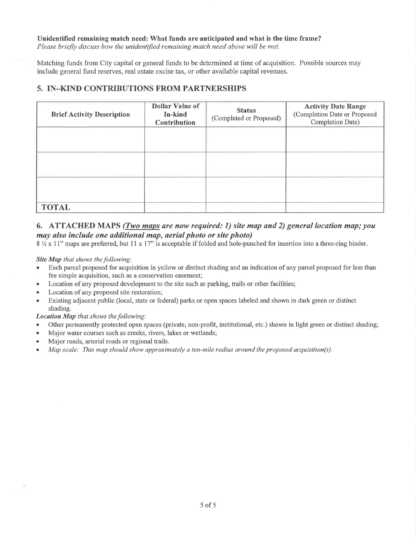Unidentified remaining match need: What funds are anticipated and what is the time frame? Please briefly discuss how the unidentified remaining match need above will be met.

Matching funds from City capital or general funds to be determined at time of acquisition. Possible sources may include general fund reserves, real estate excise tax, or other available capital revenues.

### 5. IN\_KIND CONTRIBUTIONS FROM PARTNERSHIPS

| <b>Brief Activity Description</b> | <b>Dollar Value of</b><br>In-kind<br><b>Contribution</b> | <b>Status</b><br>(Completed or Proposed) | <b>Activity Date Range</b><br>(Completion Date or Proposed<br>Completion Date) |
|-----------------------------------|----------------------------------------------------------|------------------------------------------|--------------------------------------------------------------------------------|
|                                   |                                                          |                                          |                                                                                |
|                                   |                                                          |                                          |                                                                                |
|                                   |                                                          |                                          |                                                                                |
| <b>TOTAL</b>                      |                                                          |                                          |                                                                                |

#### 6. ATTACHED MAPS (Two maps are now required: 1) site map and 2) general location map; you may also include one additional map, aerial photo or site photo)

 $8\frac{1}{2}$  x 11" maps are preferred, but 11 x 17" is acceptable if folded and hole-punched for insertion into a three-ring binder.

Site Map that shows the following:

- Each parcel proposed for acquisition in yellow or distinct shading and an indication of any parcel proposed for less than fee simple acquisition, such as a conservation easement;
- Location of any proposed development to the site such as parking, trails or other facilities;
- Location of any proposed site restoration;
- o Existing adjacent public (local, state or federal) parks or open spaces labeled and shown in dark green or distinct shading.

Location Map that shows the following:

- Other permanently protected open spaces (private, non-profit, institutional, etc.) shown in light green or distinct shading;
- Major water courses such as creeks, rivers, lakes or wetlands;
- . Major roads, arterial roads or regional trails.
- . Map scale: This map should show approximately a ten-mile radius around the proposed acquisition(s).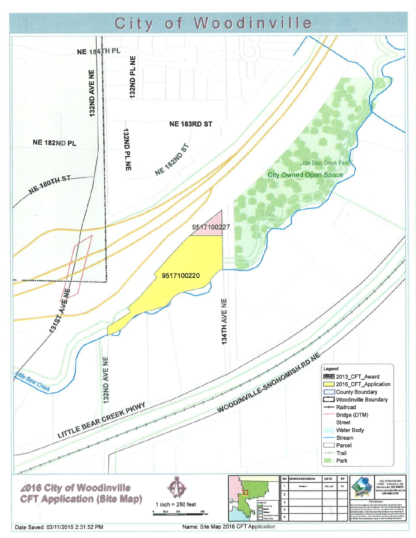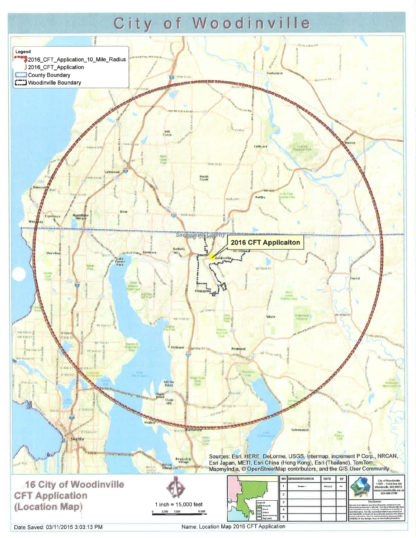# City of Woodinville



Date Saved: 03/11/2015 3:03:13 PM

Name: Location Map 2016 CFT Application